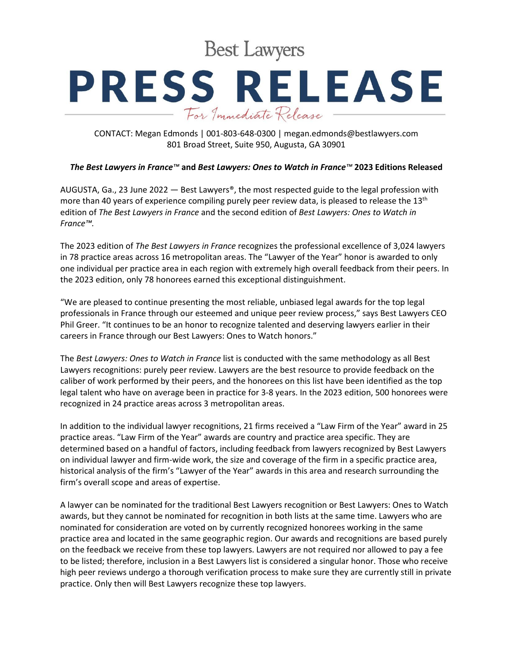**Best Lawyers** 

## **PRESS RELEASE** For Immediate Release

CONTACT: Megan Edmonds | 001-803-648-0300 | megan.edmonds@bestlawyers.com 801 Broad Street, Suite 950, Augusta, GA 30901

## *The Best Lawyers in France™* **and** *Best Lawyers: Ones to Watch in France™* **2023 Editions Released**

AUGUSTA, Ga., 23 June 2022  $-$  Best Lawyers<sup>®</sup>, the most respected guide to the legal profession with more than 40 years of experience compiling purely peer review data, is pleased to release the 13<sup>th</sup> edition of *The Best Lawyers in France* and the second edition of *Best Lawyers: Ones to Watch in France™.*

The 2023 edition of *The Best Lawyers in France* recognizes the professional excellence of 3,024 lawyers in 78 practice areas across 16 metropolitan areas. The "Lawyer of the Year" honor is awarded to only one individual per practice area in each region with extremely high overall feedback from their peers. In the 2023 edition, only 78 honorees earned this exceptional distinguishment.

"We are pleased to continue presenting the most reliable, unbiased legal awards for the top legal professionals in France through our esteemed and unique peer review process," says Best Lawyers CEO Phil Greer. "It continues to be an honor to recognize talented and deserving lawyers earlier in their careers in France through our Best Lawyers: Ones to Watch honors."

The *Best Lawyers: Ones to Watch in France* list is conducted with the same methodology as all Best Lawyers recognitions: purely peer review. Lawyers are the best resource to provide feedback on the caliber of work performed by their peers, and the honorees on this list have been identified as the top legal talent who have on average been in practice for 3-8 years. In the 2023 edition, 500 honorees were recognized in 24 practice areas across 3 metropolitan areas.

In addition to the individual lawyer recognitions, 21 firms received a "Law Firm of the Year" award in 25 practice areas. "Law Firm of the Year" awards are country and practice area specific. They are determined based on a handful of factors, including feedback from lawyers recognized by Best Lawyers on individual lawyer and firm-wide work, the size and coverage of the firm in a specific practice area, historical analysis of the firm's "Lawyer of the Year" awards in this area and research surrounding the firm's overall scope and areas of expertise.

A lawyer can be nominated for the traditional Best Lawyers recognition or Best Lawyers: Ones to Watch awards, but they cannot be nominated for recognition in both lists at the same time. Lawyers who are nominated for consideration are voted on by currently recognized honorees working in the same practice area and located in the same geographic region. Our awards and recognitions are based purely on the feedback we receive from these top lawyers. Lawyers are not required nor allowed to pay a fee to be listed; therefore, inclusion in a Best Lawyers list is considered a singular honor. Those who receive high peer reviews undergo a thorough verification process to make sure they are currently still in private practice. Only then will Best Lawyers recognize these top lawyers.